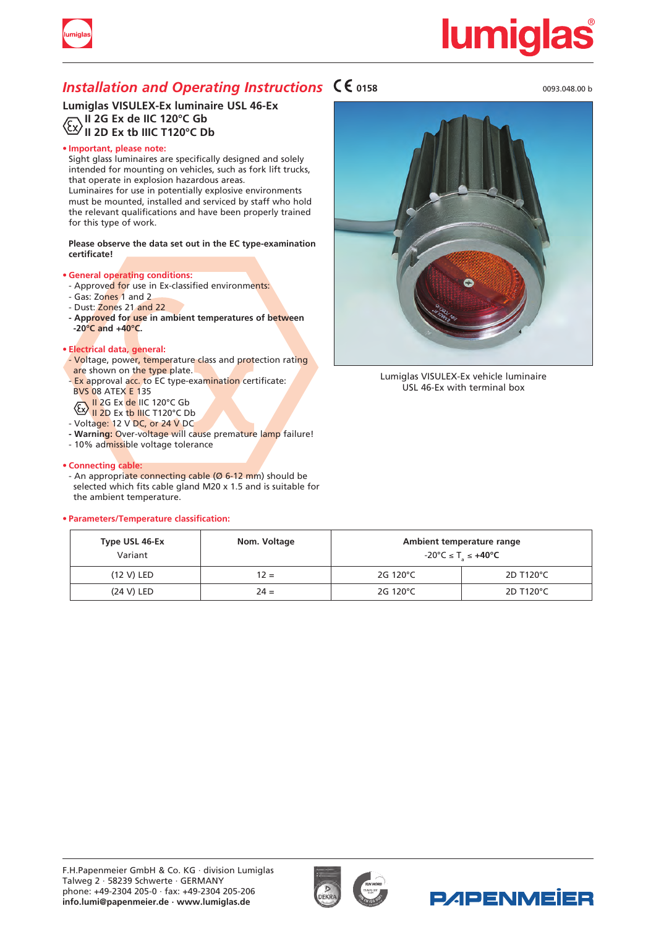

# <u>lumiqlas</u>

### *Installation and Operating Instructions*  $\mathsf{C}\mathsf{C}$  0158

**Lumiglas VISULEX-Ex luminaire USL 46-Ex II 2G Ex de IIC 120°C Gb II 2D Ex tb IIIC T120°C Db**

### **• Important, please note:**

Sight glass luminaires are specifically designed and solely intended for mounting on vehicles, such as fork lift trucks, that operate in explosion hazardous areas. Luminaires for use in potentially explosive environments

must be mounted, installed and serviced by staff who hold the relevant qualifications and have been properly trained for this type of work.

### **Please observe the data set out in the EC type-examination certificate!**

### **• General operating conditions:**

- Approved for use in Ex-classified environments:
- Gas: Zones 1 and 2
- Dust: Zones 21 and 22
- **- Approved for use in ambient temperatures of between -20°C and +40°C.**

### **• Electrical data, general:**

- Voltage, power, temperature class and protection rating are shown on the type plate.
- Ex approval acc. to EC type-examination certificate: BVS 08 ATEX E 135
- II 2G Ex <mark>de</mark> IIC 120°C Gb
- **II 2D Ex th IIIC T120°C Db**
- Voltage: 12 V DC, or 24 V DC
- **- Warning:** Over-voltage will cause premature lamp failure!
- 10% admissible voltage tolerance

### **• Connecting cable:**

- An appropriate connecting cable (Ø 6-12 mm) should be selected which fits cable gland M20 x 1.5 and is suitable for the ambient temperature.

### **• Parameters/Temperature classification:**



Lumiglas VISULEX-Ex vehicle luminaire USL 46-Ex with terminal box

| Type USL 46-Ex<br>Variant | Nom. Voltage |          | Ambient temperature range<br>$-20^{\circ}$ C $\leq$ T <sub><math>\leq</math></sub> $+40^{\circ}$ C |
|---------------------------|--------------|----------|----------------------------------------------------------------------------------------------------|
| (12 V) LED                | $12 =$       | 2G 120°C | 2D T120°C                                                                                          |
| (24 V) LED                | $24 =$       | 2G 120°C | 2D T120°C                                                                                          |





0093.048.00 b